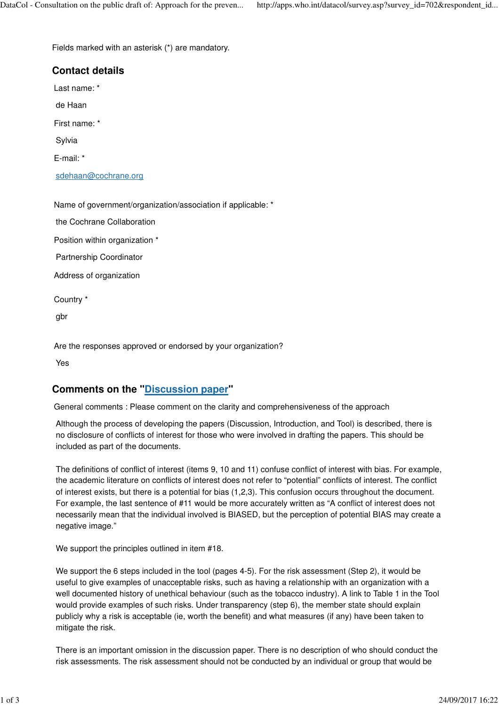Fields marked with an asterisk (\*) are mandatory.

# **Contact details** Last name: \* de Haan First name: \* Sylvia E-mail: \* sdehaan@cochrane.org

Name of government/organization/association if applicable: \*

the Cochrane Collaboration

Position within organization \*

Partnership Coordinator

Address of organization

Country \*

gbr

Are the responses approved or endorsed by your organization?

Yes

## **Comments on the "Discussion paper"**

General comments : Please comment on the clarity and comprehensiveness of the approach

Although the process of developing the papers (Discussion, Introduction, and Tool) is described, there is no disclosure of conflicts of interest for those who were involved in drafting the papers. This should be included as part of the documents.

The definitions of conflict of interest (items 9, 10 and 11) confuse conflict of interest with bias. For example, the academic literature on conflicts of interest does not refer to "potential" conflicts of interest. The conflict of interest exists, but there is a potential for bias (1,2,3). This confusion occurs throughout the document. For example, the last sentence of #11 would be more accurately written as "A conflict of interest does not necessarily mean that the individual involved is BIASED, but the perception of potential BIAS may create a negative image."

We support the principles outlined in item #18.

We support the 6 steps included in the tool (pages 4-5). For the risk assessment (Step 2), it would be useful to give examples of unacceptable risks, such as having a relationship with an organization with a well documented history of unethical behaviour (such as the tobacco industry). A link to Table 1 in the Tool would provide examples of such risks. Under transparency (step 6), the member state should explain publicly why a risk is acceptable (ie, worth the benefit) and what measures (if any) have been taken to mitigate the risk.

There is an important omission in the discussion paper. There is no description of who should conduct the risk assessments. The risk assessment should not be conducted by an individual or group that would be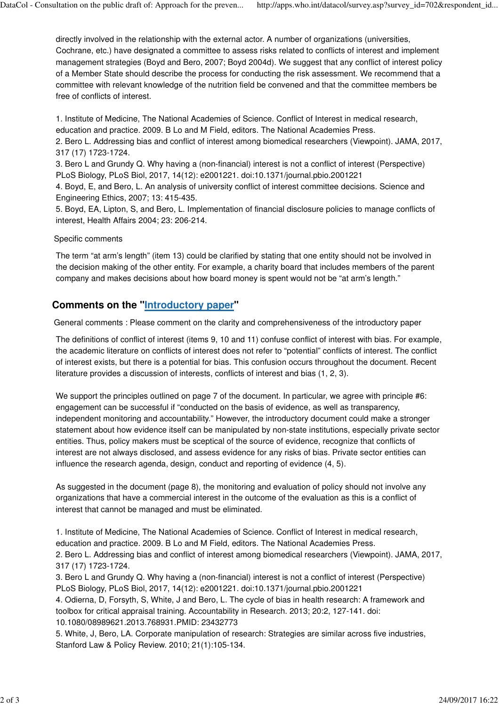directly involved in the relationship with the external actor. A number of organizations (universities, Cochrane, etc.) have designated a committee to assess risks related to conflicts of interest and implement management strategies (Boyd and Bero, 2007; Boyd 2004d). We suggest that any conflict of interest policy of a Member State should describe the process for conducting the risk assessment. We recommend that a committee with relevant knowledge of the nutrition field be convened and that the committee members be free of conflicts of interest.

1. Institute of Medicine, The National Academies of Science. Conflict of Interest in medical research, education and practice. 2009. B Lo and M Field, editors. The National Academies Press.

2. Bero L. Addressing bias and conflict of interest among biomedical researchers (Viewpoint). JAMA, 2017, 317 (17) 1723-1724.

3. Bero L and Grundy Q. Why having a (non-financial) interest is not a conflict of interest (Perspective) PLoS Biology, PLoS Biol, 2017, 14(12): e2001221. doi:10.1371/journal.pbio.2001221

4. Boyd, E, and Bero, L. An analysis of university conflict of interest committee decisions. Science and Engineering Ethics, 2007; 13: 415-435.

5. Boyd, EA, Lipton, S, and Bero, L. Implementation of financial disclosure policies to manage conflicts of interest, Health Affairs 2004; 23: 206-214.

### Specific comments

The term "at arm's length" (item 13) could be clarified by stating that one entity should not be involved in the decision making of the other entity. For example, a charity board that includes members of the parent company and makes decisions about how board money is spent would not be "at arm's length."

# **Comments on the "Introductory paper"**

General comments : Please comment on the clarity and comprehensiveness of the introductory paper

The definitions of conflict of interest (items 9, 10 and 11) confuse conflict of interest with bias. For example, the academic literature on conflicts of interest does not refer to "potential" conflicts of interest. The conflict of interest exists, but there is a potential for bias. This confusion occurs throughout the document. Recent literature provides a discussion of interests, conflicts of interest and bias (1, 2, 3).

We support the principles outlined on page 7 of the document. In particular, we agree with principle #6: engagement can be successful if "conducted on the basis of evidence, as well as transparency, independent monitoring and accountability." However, the introductory document could make a stronger statement about how evidence itself can be manipulated by non-state institutions, especially private sector entities. Thus, policy makers must be sceptical of the source of evidence, recognize that conflicts of interest are not always disclosed, and assess evidence for any risks of bias. Private sector entities can influence the research agenda, design, conduct and reporting of evidence (4, 5).

As suggested in the document (page 8), the monitoring and evaluation of policy should not involve any organizations that have a commercial interest in the outcome of the evaluation as this is a conflict of interest that cannot be managed and must be eliminated.

1. Institute of Medicine, The National Academies of Science. Conflict of Interest in medical research, education and practice. 2009. B Lo and M Field, editors. The National Academies Press. 2. Bero L. Addressing bias and conflict of interest among biomedical researchers (Viewpoint). JAMA, 2017,

317 (17) 1723-1724. 3. Bero L and Grundy Q. Why having a (non-financial) interest is not a conflict of interest (Perspective) PLoS Biology, PLoS Biol, 2017, 14(12): e2001221. doi:10.1371/journal.pbio.2001221

4. Odierna, D, Forsyth, S, White, J and Bero, L. The cycle of bias in health research: A framework and toolbox for critical appraisal training. Accountability in Research. 2013; 20:2, 127-141. doi: 10.1080/08989621.2013.768931.PMID: 23432773

5. White, J, Bero, LA. Corporate manipulation of research: Strategies are similar across five industries, Stanford Law & Policy Review. 2010; 21(1):105-134.